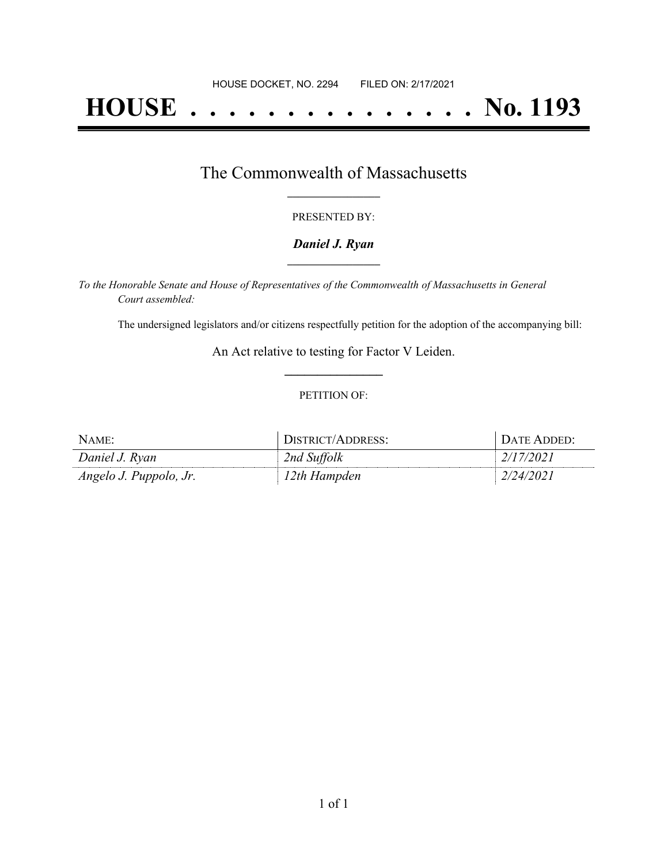# **HOUSE . . . . . . . . . . . . . . . No. 1193**

### The Commonwealth of Massachusetts **\_\_\_\_\_\_\_\_\_\_\_\_\_\_\_\_\_**

#### PRESENTED BY:

#### *Daniel J. Ryan* **\_\_\_\_\_\_\_\_\_\_\_\_\_\_\_\_\_**

*To the Honorable Senate and House of Representatives of the Commonwealth of Massachusetts in General Court assembled:*

The undersigned legislators and/or citizens respectfully petition for the adoption of the accompanying bill:

An Act relative to testing for Factor V Leiden. **\_\_\_\_\_\_\_\_\_\_\_\_\_\_\_**

#### PETITION OF:

| NAME:                  | DISTRICT/ADDRESS: | DATE ADDED: I |
|------------------------|-------------------|---------------|
| Daniel J. Ryan         | 2nd Suffolk       |               |
| Angelo J. Puppolo, Jr. | 12th Hampden      | 2/24/2021     |